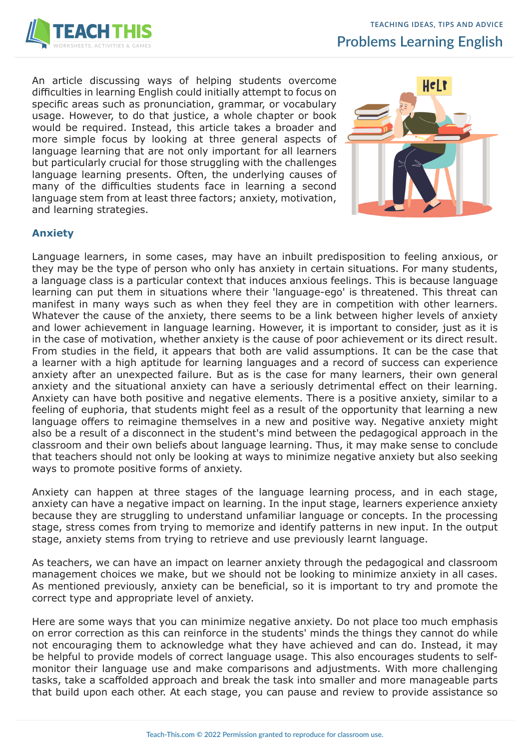

An article discussing ways of helping students overcome difficulties in learning English could initially attempt to focus on specific areas such as pronunciation, grammar, or vocabulary usage. However, to do that justice, a whole chapter or book would be required. Instead, this article takes a broader and more simple focus by looking at three general aspects of language learning that are not only important for all learners but particularly crucial for those struggling with the challenges language learning presents. Often, the underlying causes of many of the difficulties students face in learning a second language stem from at least three factors; anxiety, motivation, and learning strategies.



## **Anxiety**

Language learners, in some cases, may have an inbuilt predisposition to feeling anxious, or they may be the type of person who only has anxiety in certain situations. For many students, a language class is a particular context that induces anxious feelings. This is because language learning can put them in situations where their 'language-ego' is threatened. This threat can manifest in many ways such as when they feel they are in competition with other learners. Whatever the cause of the anxiety, there seems to be a link between higher levels of anxiety and lower achievement in language learning. However, it is important to consider, just as it is in the case of motivation, whether anxiety is the cause of poor achievement or its direct result. From studies in the field, it appears that both are valid assumptions. It can be the case that a learner with a high aptitude for learning languages and a record of success can experience anxiety after an unexpected failure. But as is the case for many learners, their own general anxiety and the situational anxiety can have a seriously detrimental effect on their learning. Anxiety can have both positive and negative elements. There is a positive anxiety, similar to a feeling of euphoria, that students might feel as a result of the opportunity that learning a new language offers to reimagine themselves in a new and positive way. Negative anxiety might also be a result of a disconnect in the student's mind between the pedagogical approach in the classroom and their own beliefs about language learning. Thus, it may make sense to conclude that teachers should not only be looking at ways to minimize negative anxiety but also seeking ways to promote positive forms of anxiety.

Anxiety can happen at three stages of the language learning process, and in each stage, anxiety can have a negative impact on learning. In the input stage, learners experience anxiety because they are struggling to understand unfamiliar language or concepts. In the processing stage, stress comes from trying to memorize and identify patterns in new input. In the output stage, anxiety stems from trying to retrieve and use previously learnt language.

As teachers, we can have an impact on learner anxiety through the pedagogical and classroom management choices we make, but we should not be looking to minimize anxiety in all cases. As mentioned previously, anxiety can be beneficial, so it is important to try and promote the correct type and appropriate level of anxiety.

Here are some ways that you can minimize negative anxiety. Do not place too much emphasis on error correction as this can reinforce in the students' minds the things they cannot do while not encouraging them to acknowledge what they have achieved and can do. Instead, it may be helpful to provide models of correct language usage. This also encourages students to selfmonitor their language use and make comparisons and adjustments. With more challenging tasks, take a scaffolded approach and break the task into smaller and more manageable parts that build upon each other. At each stage, you can pause and review to provide assistance so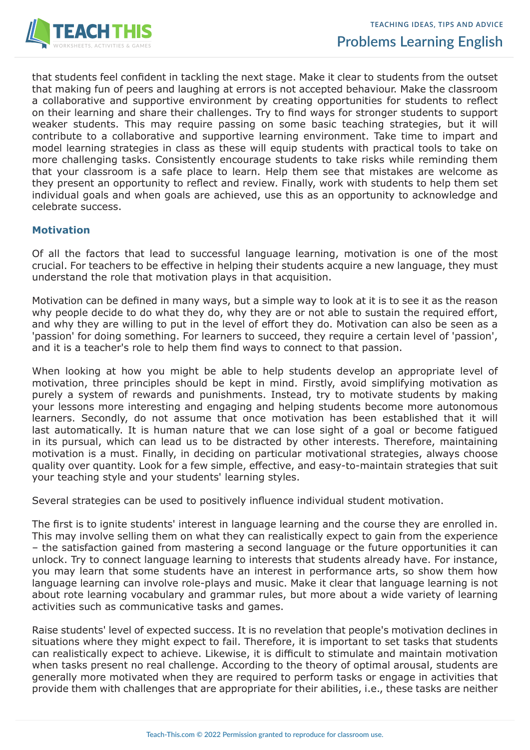

that students feel confident in tackling the next stage. Make it clear to students from the outset that making fun of peers and laughing at errors is not accepted behaviour. Make the classroom a collaborative and supportive environment by creating opportunities for students to reflect on their learning and share their challenges. Try to find ways for stronger students to support weaker students. This may require passing on some basic teaching strategies, but it will contribute to a collaborative and supportive learning environment. Take time to impart and model learning strategies in class as these will equip students with practical tools to take on more challenging tasks. Consistently encourage students to take risks while reminding them that your classroom is a safe place to learn. Help them see that mistakes are welcome as they present an opportunity to reflect and review. Finally, work with students to help them set individual goals and when goals are achieved, use this as an opportunity to acknowledge and celebrate success.

## **Motivation**

Of all the factors that lead to successful language learning, motivation is one of the most crucial. For teachers to be effective in helping their students acquire a new language, they must understand the role that motivation plays in that acquisition.

Motivation can be defined in many ways, but a simple way to look at it is to see it as the reason why people decide to do what they do, why they are or not able to sustain the required effort, and why they are willing to put in the level of effort they do. Motivation can also be seen as a 'passion' for doing something. For learners to succeed, they require a certain level of 'passion', and it is a teacher's role to help them find ways to connect to that passion.

When looking at how you might be able to help students develop an appropriate level of motivation, three principles should be kept in mind. Firstly, avoid simplifying motivation as purely a system of rewards and punishments. Instead, try to motivate students by making your lessons more interesting and engaging and helping students become more autonomous learners. Secondly, do not assume that once motivation has been established that it will last automatically. It is human nature that we can lose sight of a goal or become fatigued in its pursual, which can lead us to be distracted by other interests. Therefore, maintaining motivation is a must. Finally, in deciding on particular motivational strategies, always choose quality over quantity. Look for a few simple, effective, and easy-to-maintain strategies that suit your teaching style and your students' learning styles.

Several strategies can be used to positively influence individual student motivation.

The first is to ignite students' interest in language learning and the course they are enrolled in. This may involve selling them on what they can realistically expect to gain from the experience – the satisfaction gained from mastering a second language or the future opportunities it can unlock. Try to connect language learning to interests that students already have. For instance, you may learn that some students have an interest in performance arts, so show them how language learning can involve role-plays and music. Make it clear that language learning is not about rote learning vocabulary and grammar rules, but more about a wide variety of learning activities such as communicative tasks and games.

Raise students' level of expected success. It is no revelation that people's motivation declines in situations where they might expect to fail. Therefore, it is important to set tasks that students can realistically expect to achieve. Likewise, it is difficult to stimulate and maintain motivation when tasks present no real challenge. According to the theory of optimal arousal, students are generally more motivated when they are required to perform tasks or engage in activities that provide them with challenges that are appropriate for their abilities, i.e., these tasks are neither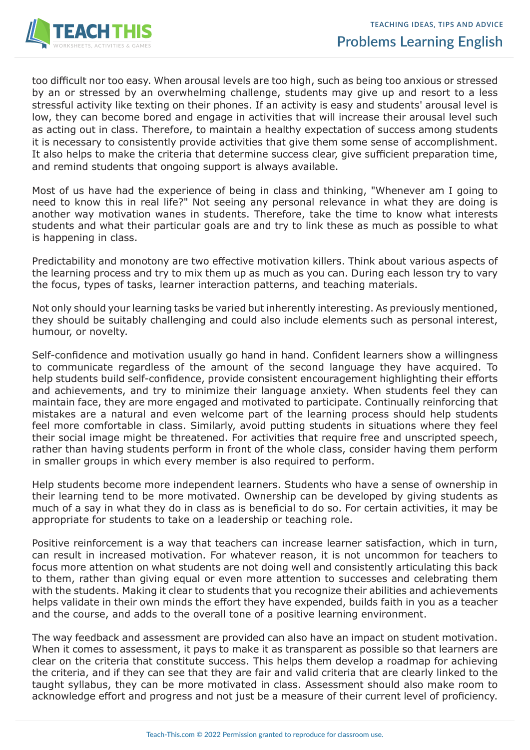

too difficult nor too easy. When arousal levels are too high, such as being too anxious or stressed by an or stressed by an overwhelming challenge, students may give up and resort to a less stressful activity like texting on their phones. If an activity is easy and students' arousal level is low, they can become bored and engage in activities that will increase their arousal level such as acting out in class. Therefore, to maintain a healthy expectation of success among students it is necessary to consistently provide activities that give them some sense of accomplishment. It also helps to make the criteria that determine success clear, give sufficient preparation time, and remind students that ongoing support is always available.

Most of us have had the experience of being in class and thinking, "Whenever am I going to need to know this in real life?" Not seeing any personal relevance in what they are doing is another way motivation wanes in students. Therefore, take the time to know what interests students and what their particular goals are and try to link these as much as possible to what is happening in class.

Predictability and monotony are two effective motivation killers. Think about various aspects of the learning process and try to mix them up as much as you can. During each lesson try to vary the focus, types of tasks, learner interaction patterns, and teaching materials.

Not only should your learning tasks be varied but inherently interesting. As previously mentioned, they should be suitably challenging and could also include elements such as personal interest, humour, or novelty.

Self-confidence and motivation usually go hand in hand. Confident learners show a willingness to communicate regardless of the amount of the second language they have acquired. To help students build self-confidence, provide consistent encouragement highlighting their efforts and achievements, and try to minimize their language anxiety. When students feel they can maintain face, they are more engaged and motivated to participate. Continually reinforcing that mistakes are a natural and even welcome part of the learning process should help students feel more comfortable in class. Similarly, avoid putting students in situations where they feel their social image might be threatened. For activities that require free and unscripted speech, rather than having students perform in front of the whole class, consider having them perform in smaller groups in which every member is also required to perform.

Help students become more independent learners. Students who have a sense of ownership in their learning tend to be more motivated. Ownership can be developed by giving students as much of a say in what they do in class as is beneficial to do so. For certain activities, it may be appropriate for students to take on a leadership or teaching role.

Positive reinforcement is a way that teachers can increase learner satisfaction, which in turn, can result in increased motivation. For whatever reason, it is not uncommon for teachers to focus more attention on what students are not doing well and consistently articulating this back to them, rather than giving equal or even more attention to successes and celebrating them with the students. Making it clear to students that you recognize their abilities and achievements helps validate in their own minds the effort they have expended, builds faith in you as a teacher and the course, and adds to the overall tone of a positive learning environment.

The way feedback and assessment are provided can also have an impact on student motivation. When it comes to assessment, it pays to make it as transparent as possible so that learners are clear on the criteria that constitute success. This helps them develop a roadmap for achieving the criteria, and if they can see that they are fair and valid criteria that are clearly linked to the taught syllabus, they can be more motivated in class. Assessment should also make room to acknowledge effort and progress and not just be a measure of their current level of proficiency.